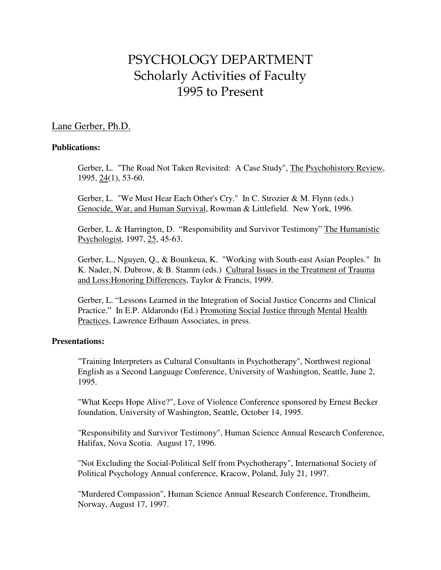# PSYCHOLOGY DEPARTMENT Scholarly Activities of Faculty 1995 to Present

# Lane Gerber, Ph.D.

## **Publications:**

 Gerber, L. "The Road Not Taken Revisited: A Case Study", The Psychohistory Review, 1995, 24(1), 53-60.

Gerber, L. "We Must Hear Each Other's Cry." In C. Strozier & M. Flynn (eds.) Genocide, War, and Human Survival, Rowman & Littlefield. New York, 1996.

Gerber, L. & Harrington, D. "Responsibility and Survivor Testimony" The Humanistic Psychologist, 1997, 25, 45-63.

Gerber, L., Nguyen, Q., & Bounkeua, K. "Working with South-east Asian Peoples." In K. Nader, N. Dubrow, & B. Stamm (eds.) Cultural Issues in the Treatment of Trauma and Loss:Honoring Differences, Taylor & Francis, 1999.

Gerber, L. "Lessons Learned in the Integration of Social Justice Concerns and Clinical Practice." In E.P. Aldarondo (Ed.) Promoting Social Justice through Mental Health Practices, Lawrence Erlbaum Associates, in press.

# **Presentations:**

 "Training Interpreters as Cultural Consultants in Psychotherapy", Northwest regional English as a Second Language Conference, University of Washington, Seattle, June 2, 1995.

 "What Keeps Hope Alive?", Love of Violence Conference sponsored by Ernest Becker foundation, University of Washington, Seattle, October 14, 1995.

 "Responsibility and Survivor Testimony", Human Science Annual Research Conference, Halifax, Nova Scotia. August 17, 1996.

 "Not Excluding the Social-Political Self from Psychotherapy", International Society of Political Psychology Annual conference, Kracow, Poland, July 21, 1997.

 "Murdered Compassion", Human Science Annual Research Conference, Trondheim, Norway, August 17, 1997.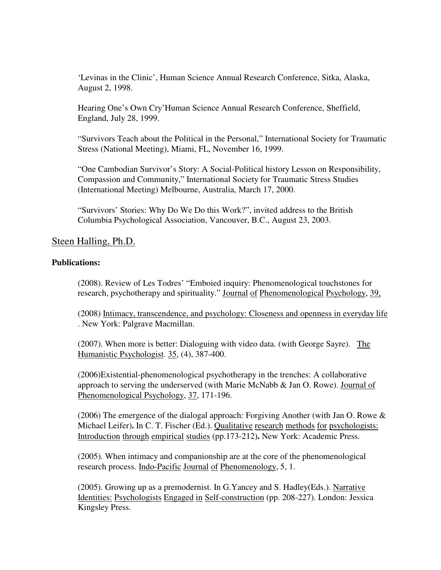'Levinas in the Clinic', Human Science Annual Research Conference, Sitka, Alaska, August 2, 1998.

Hearing One's Own Cry'Human Science Annual Research Conference, Sheffield, England, July 28, 1999.

"Survivors Teach about the Political in the Personal," International Society for Traumatic Stress (National Meeting), Miami, FL, November 16, 1999.

"One Cambodian Survivor's Story: A Social-Political history Lesson on Responsibility, Compassion and Community," International Society for Traumatic Stress Studies (International Meeting) Melbourne, Australia, March 17, 2000.

"Survivors' Stories: Why Do We Do this Work?", invited address to the British Columbia Psychological Association, Vancouver, B.C., August 23, 2003.

# Steen Halling, Ph.D.

## **Publications:**

(2008). Review of Les Todres' "Emboied inquiry: Phenomenological touchstones for research, psychotherapy and spirituality." Journal of Phenomenological Psychology, 39,

(2008) Intimacy, transcendence, and psychology: Closeness and openness in everyday life . New York: Palgrave Macmillan.

(2007). When more is better: Dialoguing with video data. (with George Sayre). The Humanistic Psychologist. 35, (4), 387-400.

(2006)Existential-phenomenological psychotherapy in the trenches: A collaborative approach to serving the underserved (with Marie McNabb & Jan O. Rowe). Journal of Phenomenological Psychology, 37, 171-196.

(2006) The emergence of the dialogal approach: Forgiving Another (with Jan O. Rowe & Michael Leifer)**.** In C. T. Fischer (Ed.). Qualitative research methods for psychologists: Introduction through empirical studies (pp.173-212)**.** New York: Academic Press.

(2005). When intimacy and companionship are at the core of the phenomenological research process. Indo-Pacific Journal of Phenomenology, 5, 1.

(2005). Growing up as a premodernist. In G.Yancey and S. Hadley(Eds.). Narrative Identities: Psychologists Engaged in Self-construction (pp. 208-227). London: Jessica Kingsley Press.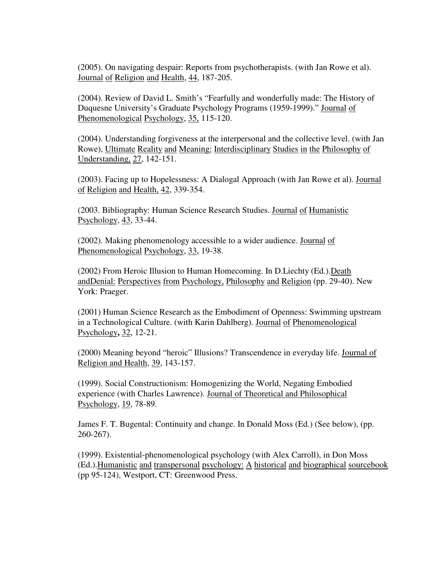(2005). On navigating despair: Reports from psychotherapists. (with Jan Rowe et al). Journal of Religion and Health, 44, 187-205.

(2004). Review of David L. Smith's "Fearfully and wonderfully made: The History of Duquesne University's Graduate Psychology Programs (1959-1999)." Journal of Phenomenological Psychology, 35, 115-120.

(2004). Understanding forgiveness at the interpersonal and the collective level. (with Jan Rowe), Ultimate Reality and Meaning: Interdisciplinary Studies in the Philosophy of Understanding, 27, 142-151.

(2003). Facing up to Hopelessness: A Dialogal Approach (with Jan Rowe et al). Journal of Religion and Health, 42, 339-354.

(2003. Bibliography: Human Science Research Studies. Journal of Humanistic Psychology, 43, 33-44.

(2002). Making phenomenology accessible to a wider audience. Journal of Phenomenological Psychology, 33, 19-38.

(2002) From Heroic Illusion to Human Homecoming. In D.Liechty (Ed.).Death andDenial: Perspectives from Psychology, Philosophy and Religion (pp. 29-40). New York: Praeger.

(2001) Human Science Research as the Embodiment of Openness: Swimming upstream in a Technological Culture. (with Karin Dahlberg). Journal of Phenomenological Psychology**,** 32, 12-21.

(2000) Meaning beyond "heroic" Illusions? Transcendence in everyday life. Journal of Religion and Health, 39, 143-157.

(1999). Social Constructionism: Homogenizing the World, Negating Embodied experience (with Charles Lawrence). Journal of Theoretical and Philosophical Psychology, 19, 78-89.

James F. T. Bugental: Continuity and change. In Donald Moss (Ed.) (See below), (pp. 260-267).

(1999). Existential-phenomenological psychology (with Alex Carroll), in Don Moss (Ed.).Humanistic and transpersonal psychology: A historical and biographical sourcebook (pp 95-124), Westport, CT: Greenwood Press.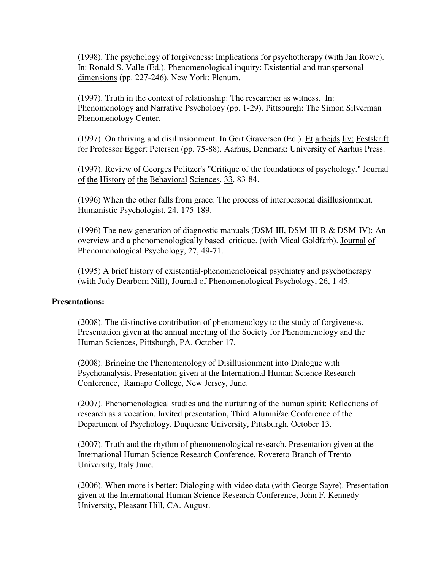(1998). The psychology of forgiveness: Implications for psychotherapy (with Jan Rowe). In: Ronald S. Valle (Ed.). Phenomenological inquiry: Existential and transpersonal dimensions (pp. 227-246). New York: Plenum.

(1997). Truth in the context of relationship: The researcher as witness. In: Phenomenology and Narrative Psychology (pp. 1-29). Pittsburgh: The Simon Silverman Phenomenology Center.

(1997). On thriving and disillusionment. In Gert Graversen (Ed.). Et arbejds liv: Festskrift for Professor Eggert Petersen (pp. 75-88). Aarhus, Denmark: University of Aarhus Press.

(1997). Review of Georges Politzer's "Critique of the foundations of psychology." Journal of the History of the Behavioral Sciences. 33, 83-84.

(1996) When the other falls from grace: The process of interpersonal disillusionment. Humanistic Psychologist, 24, 175-189.

(1996) The new generation of diagnostic manuals (DSM-III, DSM-III-R & DSM-IV): An overview and a phenomenologically based critique. (with Mical Goldfarb). Journal of Phenomenological Psychology, 27, 49-71.

(1995) A brief history of existential-phenomenological psychiatry and psychotherapy (with Judy Dearborn Nill), Journal of Phenomenological Psychology, 26, 1-45.

#### **Presentations:**

(2008). The distinctive contribution of phenomenology to the study of forgiveness. Presentation given at the annual meeting of the Society for Phenomenology and the Human Sciences, Pittsburgh, PA. October 17.

(2008). Bringing the Phenomenology of Disillusionment into Dialogue with Psychoanalysis. Presentation given at the International Human Science Research Conference, Ramapo College, New Jersey, June.

(2007). Phenomenological studies and the nurturing of the human spirit: Reflections of research as a vocation. Invited presentation, Third Alumni/ae Conference of the Department of Psychology. Duquesne University, Pittsburgh. October 13.

(2007). Truth and the rhythm of phenomenological research. Presentation given at the International Human Science Research Conference, Rovereto Branch of Trento University, Italy June.

(2006). When more is better: Dialoging with video data (with George Sayre). Presentation given at the International Human Science Research Conference, John F. Kennedy University, Pleasant Hill, CA. August.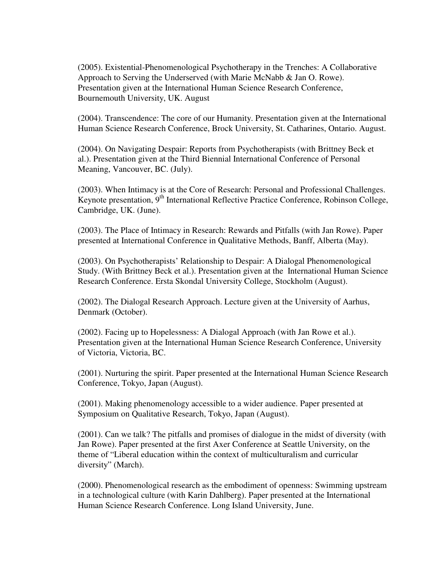(2005). Existential-Phenomenological Psychotherapy in the Trenches: A Collaborative Approach to Serving the Underserved (with Marie McNabb & Jan O. Rowe). Presentation given at the International Human Science Research Conference, Bournemouth University, UK. August

(2004). Transcendence: The core of our Humanity. Presentation given at the International Human Science Research Conference, Brock University, St. Catharines, Ontario. August.

(2004). On Navigating Despair: Reports from Psychotherapists (with Brittney Beck et al.). Presentation given at the Third Biennial International Conference of Personal Meaning, Vancouver, BC. (July).

(2003). When Intimacy is at the Core of Research: Personal and Professional Challenges. Keynote presentation, 9<sup>th</sup> International Reflective Practice Conference, Robinson College, Cambridge, UK. (June).

(2003). The Place of Intimacy in Research: Rewards and Pitfalls (with Jan Rowe). Paper presented at International Conference in Qualitative Methods, Banff, Alberta (May).

(2003). On Psychotherapists' Relationship to Despair: A Dialogal Phenomenological Study. (With Brittney Beck et al.). Presentation given at the International Human Science Research Conference. Ersta Skondal University College, Stockholm (August).

(2002). The Dialogal Research Approach. Lecture given at the University of Aarhus, Denmark (October).

(2002). Facing up to Hopelessness: A Dialogal Approach (with Jan Rowe et al.). Presentation given at the International Human Science Research Conference, University of Victoria, Victoria, BC.

(2001). Nurturing the spirit. Paper presented at the International Human Science Research Conference, Tokyo, Japan (August).

(2001). Making phenomenology accessible to a wider audience. Paper presented at Symposium on Qualitative Research, Tokyo, Japan (August).

(2001). Can we talk? The pitfalls and promises of dialogue in the midst of diversity (with Jan Rowe). Paper presented at the first Axer Conference at Seattle University, on the theme of "Liberal education within the context of multiculturalism and curricular diversity" (March).

(2000). Phenomenological research as the embodiment of openness: Swimming upstream in a technological culture (with Karin Dahlberg). Paper presented at the International Human Science Research Conference. Long Island University, June.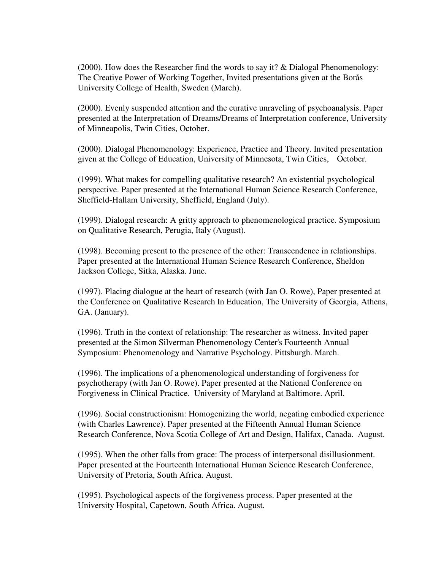(2000). How does the Researcher find the words to say it? & Dialogal Phenomenology: The Creative Power of Working Together, Invited presentations given at the Borås University College of Health, Sweden (March).

(2000). Evenly suspended attention and the curative unraveling of psychoanalysis. Paper presented at the Interpretation of Dreams/Dreams of Interpretation conference, University of Minneapolis, Twin Cities, October.

(2000). Dialogal Phenomenology: Experience, Practice and Theory. Invited presentation given at the College of Education, University of Minnesota, Twin Cities, October.

(1999). What makes for compelling qualitative research? An existential psychological perspective. Paper presented at the International Human Science Research Conference, Sheffield-Hallam University, Sheffield, England (July).

(1999). Dialogal research: A gritty approach to phenomenological practice. Symposium on Qualitative Research, Perugia, Italy (August).

(1998). Becoming present to the presence of the other: Transcendence in relationships. Paper presented at the International Human Science Research Conference, Sheldon Jackson College, Sitka, Alaska. June.

(1997). Placing dialogue at the heart of research (with Jan O. Rowe), Paper presented at the Conference on Qualitative Research In Education, The University of Georgia, Athens, GA. (January).

(1996). Truth in the context of relationship: The researcher as witness. Invited paper presented at the Simon Silverman Phenomenology Center's Fourteenth Annual Symposium: Phenomenology and Narrative Psychology. Pittsburgh. March.

(1996). The implications of a phenomenological understanding of forgiveness for psychotherapy (with Jan O. Rowe). Paper presented at the National Conference on Forgiveness in Clinical Practice. University of Maryland at Baltimore. April.

(1996). Social constructionism: Homogenizing the world, negating embodied experience (with Charles Lawrence). Paper presented at the Fifteenth Annual Human Science Research Conference, Nova Scotia College of Art and Design, Halifax, Canada. August.

(1995). When the other falls from grace: The process of interpersonal disillusionment. Paper presented at the Fourteenth International Human Science Research Conference, University of Pretoria, South Africa. August.

(1995). Psychological aspects of the forgiveness process. Paper presented at the University Hospital, Capetown, South Africa. August.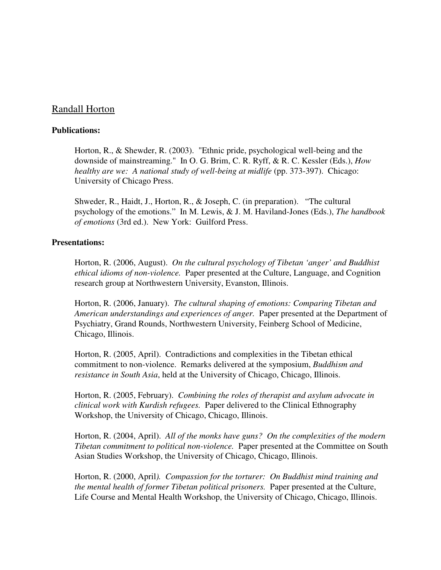# Randall Horton

## **Publications:**

Horton, R., & Shewder, R. (2003). "Ethnic pride, psychological well-being and the downside of mainstreaming." In O. G. Brim, C. R. Ryff, & R. C. Kessler (Eds.), *How healthy are we: A national study of well-being at midlife* (pp. 373-397). Chicago: University of Chicago Press.

Shweder, R., Haidt, J., Horton, R., & Joseph, C. (in preparation). "The cultural psychology of the emotions." In M. Lewis, & J. M. Haviland-Jones (Eds.), *The handbook of emotions* (3rd ed.). New York: Guilford Press.

#### **Presentations:**

Horton, R. (2006, August). *On the cultural psychology of Tibetan 'anger' and Buddhist ethical idioms of non-violence.* Paper presented at the Culture, Language, and Cognition research group at Northwestern University, Evanston, Illinois.

Horton, R. (2006, January). *The cultural shaping of emotions: Comparing Tibetan and American understandings and experiences of anger.* Paper presented at the Department of Psychiatry, Grand Rounds, Northwestern University, Feinberg School of Medicine, Chicago, Illinois.

Horton, R. (2005, April). Contradictions and complexities in the Tibetan ethical commitment to non-violence. Remarks delivered at the symposium, *Buddhism and resistance in South Asia*, held at the University of Chicago, Chicago, Illinois.

Horton, R. (2005, February). *Combining the roles of therapist and asylum advocate in clinical work with Kurdish refugees.* Paper delivered to the Clinical Ethnography Workshop, the University of Chicago, Chicago, Illinois.

Horton, R. (2004, April). *All of the monks have guns? On the complexities of the modern Tibetan commitment to political non-violence.* Paper presented at the Committee on South Asian Studies Workshop, the University of Chicago, Chicago, Illinois.

Horton, R. (2000, April*). Compassion for the torturer: On Buddhist mind training and the mental health of former Tibetan political prisoners.* Paper presented at the Culture, Life Course and Mental Health Workshop, the University of Chicago, Chicago, Illinois.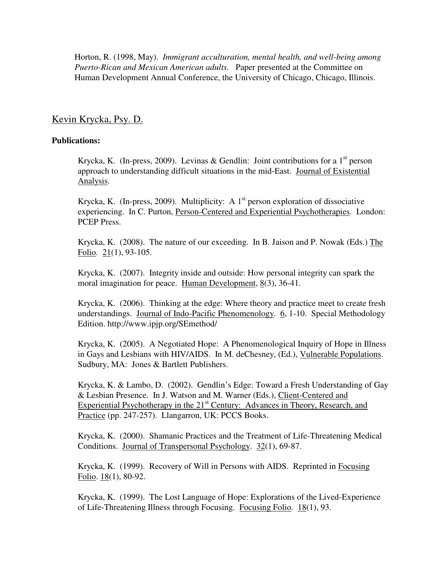Horton, R. (1998, May). *Immigrant acculturation, mental health, and well-being among Puerto-Rican and Mexican American adults.* Paper presented at the Committee on Human Development Annual Conference, the University of Chicago, Chicago, Illinois.

# Kevin Krycka, Psy. D.

## **Publications:**

Krycka, K. (In-press, 2009). Levinas & Gendlin: Joint contributions for a  $1<sup>st</sup>$  person approach to understanding difficult situations in the mid-East. Journal of Existential Analysis.

Krycka, K. (In-press, 2009). Multiplicity: A  $1<sup>st</sup>$  person exploration of dissociative experiencing. In C. Purton, Person-Centered and Experiential Psychotherapies. London: PCEP Press.

Krycka, K. (2008). The nature of our exceeding. In B. Jaison and P. Nowak (Eds.) The Folio. 21(1), 93-105.

Krycka, K. (2007). Integrity inside and outside: How personal integrity can spark the moral imagination for peace. Human Development,  $8(3)$ , 36-41.

Krycka, K. (2006). Thinking at the edge: Where theory and practice meet to create fresh understandings. Journal of Indo-Pacific Phenomenology. 6, 1-10. Special Methodology Edition. http://www.ipjp.org/SEmethod/

Krycka, K. (2005). A Negotiated Hope: A Phenomenological Inquiry of Hope in Illness in Gays and Lesbians with HIV/AIDS. In M. deChesney, (Ed.), Vulnerable Populations. Sudbury, MA: Jones & Bartlett Publishers.

Krycka, K. & Lambo, D. (2002). Gendlin's Edge: Toward a Fresh Understanding of Gay & Lesbian Presence. In J. Watson and M. Warner (Eds.), Client-Centered and Experiential Psychotherapy in the  $21<sup>st</sup>$  Century: Advances in Theory, Research, and Practice (pp. 247-257). Llangarron, UK: PCCS Books.

Krycka, K. (2000). Shamanic Practices and the Treatment of Life-Threatening Medical Conditions. Journal of Transpersonal Psychology. 32(1), 69-87.

Krycka, K. (1999). Recovery of Will in Persons with AIDS. Reprinted in Focusing Folio. 18(1), 80-92.

Krycka, K. (1999). The Lost Language of Hope: Explorations of the Lived-Experience of Life-Threatening Illness through Focusing. Focusing Folio. 18(1), 93.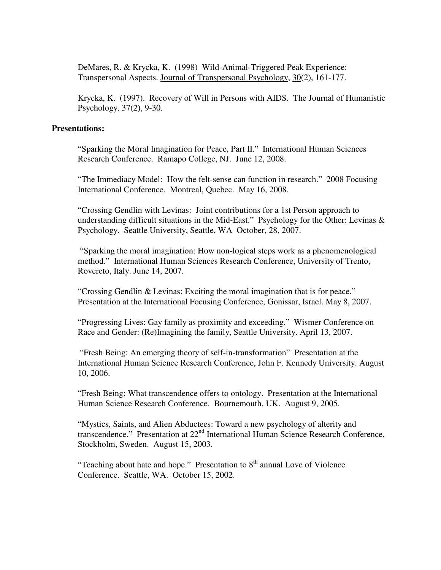DeMares, R. & Krycka, K. (1998) Wild-Animal-Triggered Peak Experience: Transpersonal Aspects. Journal of Transpersonal Psychology, 30(2), 161-177.

Krycka, K. (1997). Recovery of Will in Persons with AIDS. The Journal of Humanistic Psychology. 37(2), 9-30.

#### **Presentations:**

"Sparking the Moral Imagination for Peace, Part II." International Human Sciences Research Conference. Ramapo College, NJ. June 12, 2008.

"The Immediacy Model: How the felt-sense can function in research." 2008 Focusing International Conference. Montreal, Quebec. May 16, 2008.

"Crossing Gendlin with Levinas: Joint contributions for a 1st Person approach to understanding difficult situations in the Mid-East." Psychology for the Other: Levinas & Psychology. Seattle University, Seattle, WA October, 28, 2007.

 "Sparking the moral imagination: How non-logical steps work as a phenomenological method." International Human Sciences Research Conference, University of Trento, Rovereto, Italy. June 14, 2007.

"Crossing Gendlin & Levinas: Exciting the moral imagination that is for peace." Presentation at the International Focusing Conference, Gonissar, Israel. May 8, 2007.

"Progressing Lives: Gay family as proximity and exceeding." Wismer Conference on Race and Gender: (Re)Imagining the family, Seattle University. April 13, 2007.

 "Fresh Being: An emerging theory of self-in-transformation" Presentation at the International Human Science Research Conference, John F. Kennedy University. August 10, 2006.

"Fresh Being: What transcendence offers to ontology. Presentation at the International Human Science Research Conference. Bournemouth, UK. August 9, 2005.

"Mystics, Saints, and Alien Abductees: Toward a new psychology of alterity and transcendence." Presentation at 22<sup>nd</sup> International Human Science Research Conference, Stockholm, Sweden. August 15, 2003.

"Teaching about hate and hope." Presentation to  $8<sup>th</sup>$  annual Love of Violence Conference. Seattle, WA. October 15, 2002.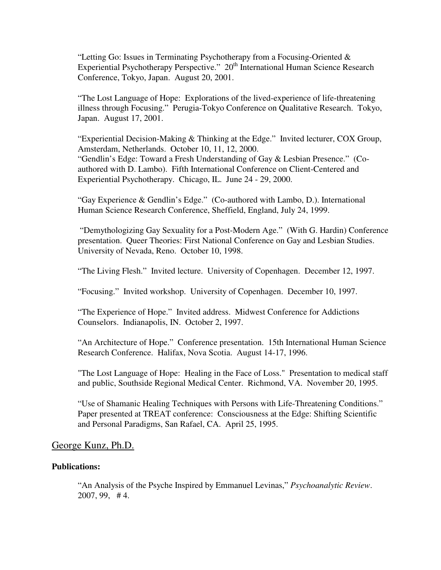"Letting Go: Issues in Terminating Psychotherapy from a Focusing-Oriented & Experiential Psychotherapy Perspective." 20<sup>th</sup> International Human Science Research Conference, Tokyo, Japan. August 20, 2001.

"The Lost Language of Hope: Explorations of the lived-experience of life-threatening illness through Focusing." Perugia-Tokyo Conference on Qualitative Research. Tokyo, Japan. August 17, 2001.

"Experiential Decision-Making & Thinking at the Edge." Invited lecturer, COX Group, Amsterdam, Netherlands. October 10, 11, 12, 2000. "Gendlin's Edge: Toward a Fresh Understanding of Gay & Lesbian Presence." (Coauthored with D. Lambo). Fifth International Conference on Client-Centered and Experiential Psychotherapy. Chicago, IL. June 24 - 29, 2000.

"Gay Experience & Gendlin's Edge." (Co-authored with Lambo, D.). International Human Science Research Conference, Sheffield, England, July 24, 1999.

 "Demythologizing Gay Sexuality for a Post-Modern Age." (With G. Hardin) Conference presentation. Queer Theories: First National Conference on Gay and Lesbian Studies. University of Nevada, Reno. October 10, 1998.

"The Living Flesh." Invited lecture. University of Copenhagen. December 12, 1997.

"Focusing." Invited workshop. University of Copenhagen. December 10, 1997.

"The Experience of Hope." Invited address. Midwest Conference for Addictions Counselors. Indianapolis, IN. October 2, 1997.

"An Architecture of Hope." Conference presentation. 15th International Human Science Research Conference. Halifax, Nova Scotia. August 14-17, 1996.

"The Lost Language of Hope: Healing in the Face of Loss." Presentation to medical staff and public, Southside Regional Medical Center. Richmond, VA. November 20, 1995.

"Use of Shamanic Healing Techniques with Persons with Life-Threatening Conditions." Paper presented at TREAT conference: Consciousness at the Edge: Shifting Scientific and Personal Paradigms, San Rafael, CA. April 25, 1995.

## George Kunz, Ph.D.

#### **Publications:**

"An Analysis of the Psyche Inspired by Emmanuel Levinas," *Psychoanalytic Review*. 2007, 99, # 4.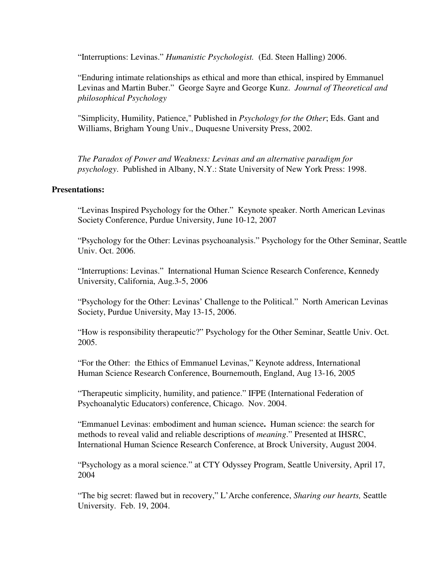"Interruptions: Levinas." *Humanistic Psychologist.* (Ed. Steen Halling) 2006.

"Enduring intimate relationships as ethical and more than ethical, inspired by Emmanuel Levinas and Martin Buber." George Sayre and George Kunz. *Journal of Theoretical and philosophical Psychology*

"Simplicity, Humility, Patience," Published in *Psychology for the Other*; Eds. Gant and Williams, Brigham Young Univ., Duquesne University Press, 2002.

*The Paradox of Power and Weakness: Levinas and an alternative paradigm for psychology*. Published in Albany, N.Y.: State University of New York Press: 1998.

## **Presentations:**

"Levinas Inspired Psychology for the Other." Keynote speaker. North American Levinas Society Conference, Purdue University, June 10-12, 2007

"Psychology for the Other: Levinas psychoanalysis." Psychology for the Other Seminar, Seattle Univ. Oct. 2006.

"Interruptions: Levinas." International Human Science Research Conference, Kennedy University, California, Aug.3-5, 2006

"Psychology for the Other: Levinas' Challenge to the Political." North American Levinas Society, Purdue University, May 13-15, 2006.

"How is responsibility therapeutic?" Psychology for the Other Seminar, Seattle Univ. Oct. 2005.

"For the Other: the Ethics of Emmanuel Levinas," Keynote address, International Human Science Research Conference, Bournemouth, England, Aug 13-16, 2005

"Therapeutic simplicity, humility, and patience." IFPE (International Federation of Psychoanalytic Educators) conference, Chicago. Nov. 2004.

"Emmanuel Levinas: embodiment and human science**.** Human science: the search for methods to reveal valid and reliable descriptions of *meaning*." Presented at IHSRC, International Human Science Research Conference, at Brock University, August 2004.

"Psychology as a moral science." at CTY Odyssey Program, Seattle University, April 17, 2004

"The big secret: flawed but in recovery," L'Arche conference, *Sharing our hearts,* Seattle University. Feb. 19, 2004.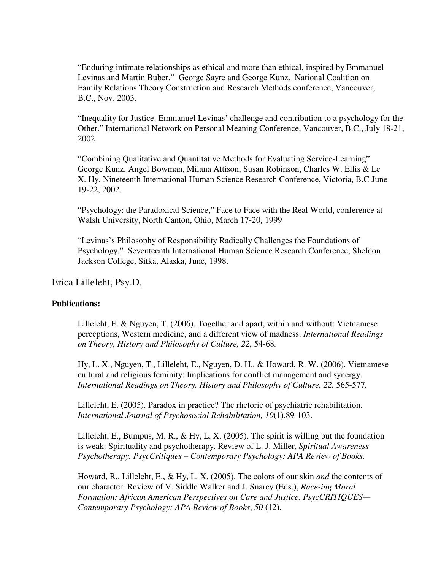"Enduring intimate relationships as ethical and more than ethical, inspired by Emmanuel Levinas and Martin Buber." George Sayre and George Kunz. National Coalition on Family Relations Theory Construction and Research Methods conference, Vancouver, B.C., Nov. 2003.

"Inequality for Justice. Emmanuel Levinas' challenge and contribution to a psychology for the Other." International Network on Personal Meaning Conference, Vancouver, B.C., July 18-21, 2002

"Combining Qualitative and Quantitative Methods for Evaluating Service-Learning" George Kunz, Angel Bowman, Milana Attison, Susan Robinson, Charles W. Ellis & Le X. Hy. Nineteenth International Human Science Research Conference, Victoria, B.C June 19-22, 2002.

"Psychology: the Paradoxical Science," Face to Face with the Real World, conference at Walsh University, North Canton, Ohio, March 17-20, 1999

"Levinas's Philosophy of Responsibility Radically Challenges the Foundations of Psychology." Seventeenth International Human Science Research Conference, Sheldon Jackson College, Sitka, Alaska, June, 1998.

# Erica Lilleleht, Psy.D.

#### **Publications:**

Lilleleht, E. & Nguyen, T. (2006). Together and apart, within and without: Vietnamese perceptions, Western medicine, and a different view of madness. *International Readings on Theory, History and Philosophy of Culture, 22,* 54-68*.* 

Hy, L. X., Nguyen, T., Lilleleht, E., Nguyen, D. H., & Howard, R. W. (2006). Vietnamese cultural and religious feminity: Implications for conflict management and synergy. *International Readings on Theory, History and Philosophy of Culture, 22,* 565-577*.*

Lilleleht, E. (2005). Paradox in practice? The rhetoric of psychiatric rehabilitation. *International Journal of Psychosocial Rehabilitation, 10*(1)*.*89-103.

Lilleleht, E., Bumpus, M. R., & Hy, L. X. (2005). The spirit is willing but the foundation is weak: Spirituality and psychotherapy. Review of L. J. Miller, *Spiritual Awareness Psychotherapy. PsycCritiques – Contemporary Psychology: APA Review of Books.*

Howard, R., Lilleleht, E., & Hy, L. X. (2005). The colors of our skin *and* the contents of our character. Review of V. Siddle Walker and J. Snarey (Eds.), *Race-ing Moral Formation: African American Perspectives on Care and Justice. PsycCRITIQUES— Contemporary Psychology: APA Review of Books*, *50* (12).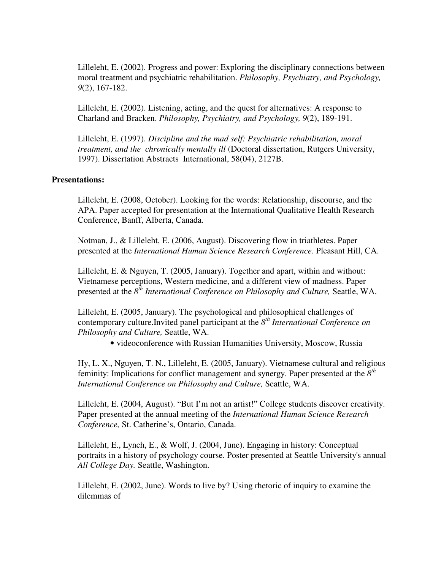Lilleleht, E. (2002). Progress and power: Exploring the disciplinary connections between moral treatment and psychiatric rehabilitation. *Philosophy, Psychiatry, and Psychology, 9*(2), 167-182.

Lilleleht, E. (2002). Listening, acting, and the quest for alternatives: A response to Charland and Bracken. *Philosophy, Psychiatry, and Psychology, 9*(2), 189-191.

Lilleleht, E. (1997). *Discipline and the mad self: Psychiatric rehabilitation, moral treatment, and the chronically mentally ill* (Doctoral dissertation, Rutgers University, 1997). Dissertation Abstracts International, 58(04), 2127B.

#### **Presentations:**

Lilleleht, E. (2008, October). Looking for the words: Relationship, discourse, and the APA. Paper accepted for presentation at the International Qualitative Health Research Conference, Banff, Alberta, Canada.

Notman, J., & Lilleleht, E. (2006, August). Discovering flow in triathletes. Paper presented at the *International Human Science Research Conference*. Pleasant Hill, CA.

Lilleleht, E. & Nguyen, T. (2005, January). Together and apart, within and without: Vietnamese perceptions, Western medicine, and a different view of madness. Paper presented at the  $8^{th}$  *International Conference on Philosophy and Culture, Seattle, WA.* 

Lilleleht, E. (2005, January). The psychological and philosophical challenges of contemporary culture.Invited panel participant at the *8 th International Conference on Philosophy and Culture,* Seattle, WA.

• videoconference with Russian Humanities University, Moscow, Russia

Hy, L. X., Nguyen, T. N., Lilleleht, E. (2005, January). Vietnamese cultural and religious feminity: Implications for conflict management and synergy. Paper presented at the  $8<sup>th</sup>$ *International Conference on Philosophy and Culture,* Seattle, WA.

Lilleleht, E. (2004, August). "But I'm not an artist!" College students discover creativity. Paper presented at the annual meeting of the *International Human Science Research Conference,* St. Catherine's, Ontario, Canada.

Lilleleht, E., Lynch, E., & Wolf, J. (2004, June). Engaging in history: Conceptual portraits in a history of psychology course. Poster presented at Seattle University's annual *All College Day.* Seattle, Washington.

Lilleleht, E. (2002, June). Words to live by? Using rhetoric of inquiry to examine the dilemmas of